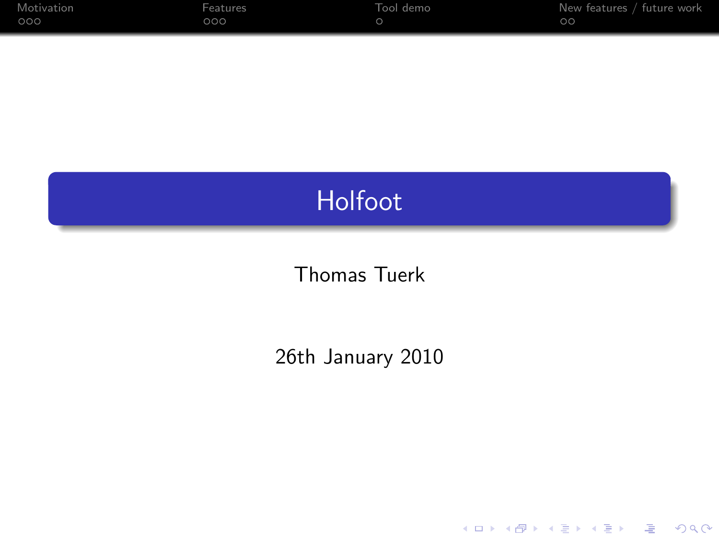| Motivation | Features | Tool demo | New features / future work |
|------------|----------|-----------|----------------------------|
| 000        | ೦೦೦      |           | $\circ$                    |

## Holfoot

## Thomas Tuerk

## 26th January 2010

K ロ ▶ K @ ▶ K 할 ▶ K 할 ▶ | 할 | X 9 Q Q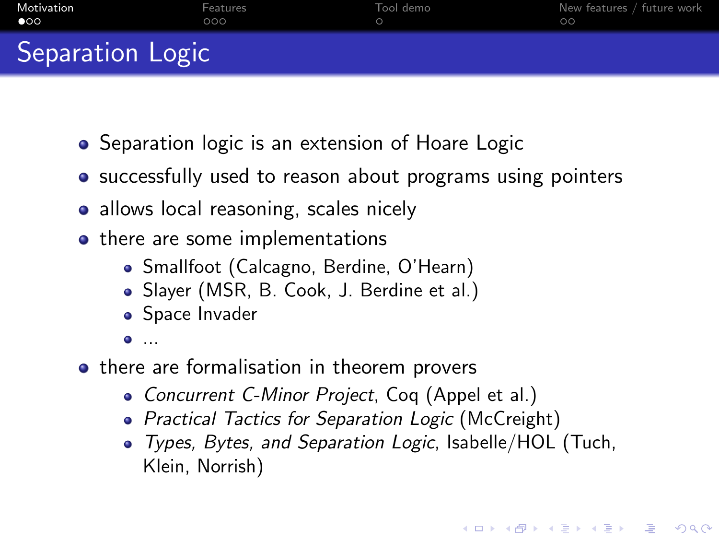| Motivation       | Features | Tool demo | New features / future work |
|------------------|----------|-----------|----------------------------|
| $\bullet$        | ೦೦೦      |           | $\circ$                    |
| Separation Logic |          |           |                            |

- Separation logic is an extension of Hoare Logic
- successfully used to reason about programs using pointers
- allows local reasoning, scales nicely
- there are some implementations
	- Smallfoot (Calcagno, Berdine, O'Hearn)
	- Slayer (MSR, B. Cook, J. Berdine et al.)
	- Space Invader
	- ...
- <span id="page-1-0"></span>• there are formalisation in theorem provers
	- Concurrent C-Minor Project, Coq (Appel et al.)
	- Practical Tactics for Separation Logic (McCreight)
	- Types, Bytes, and Separation Logic, Isabelle/HOL (Tuch, Klein, Norrish)

**K ロ X (日) X 제공 X 제공 X - 공 : X 이익(N)**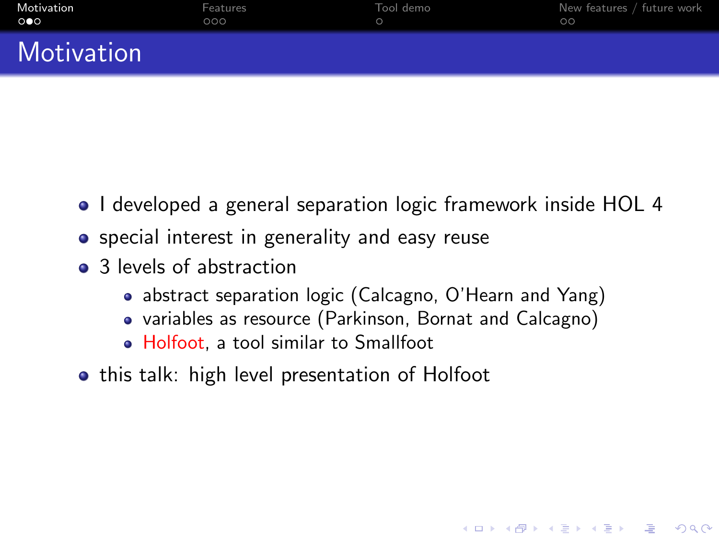| Motivation | Features | Tool demo | New features / future work |
|------------|----------|-----------|----------------------------|
| െ          | 00O      |           | ററ                         |
| $M = 1.1$  |          |           |                            |

- I developed a general separation logic framework inside HOL 4
- special interest in generality and easy reuse
- 3 levels of abstraction

Motivation

- abstract separation logic (Calcagno, O'Hearn and Yang)
- variables as resource (Parkinson, Bornat and Calcagno)

**AD A REAKEN E YOUR** 

- Holfoot, a tool similar to Smallfoot
- this talk: high level presentation of Holfoot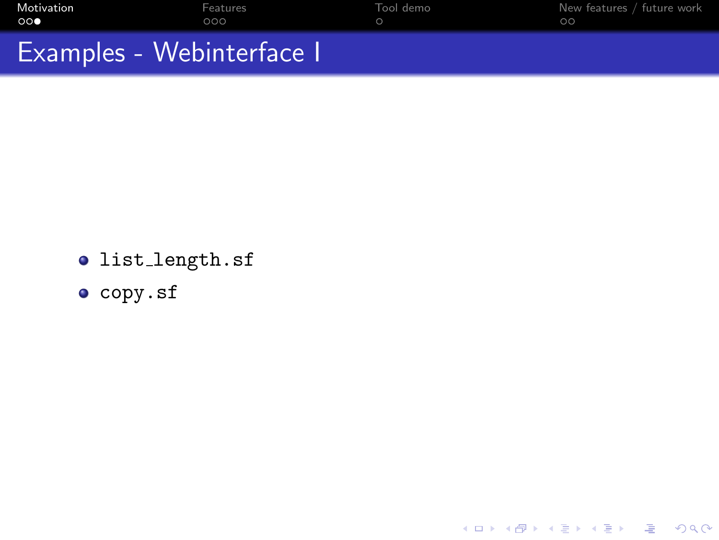| Motivation<br>ററ          | Features<br>റററ | Tool demo | New features / future work |
|---------------------------|-----------------|-----------|----------------------------|
| Examples - Webinterface I |                 |           |                            |

K ロ ▶ K @ ▶ K 할 ▶ K 할 ▶ | 할 | 2000

- list length.sf
- copy.sf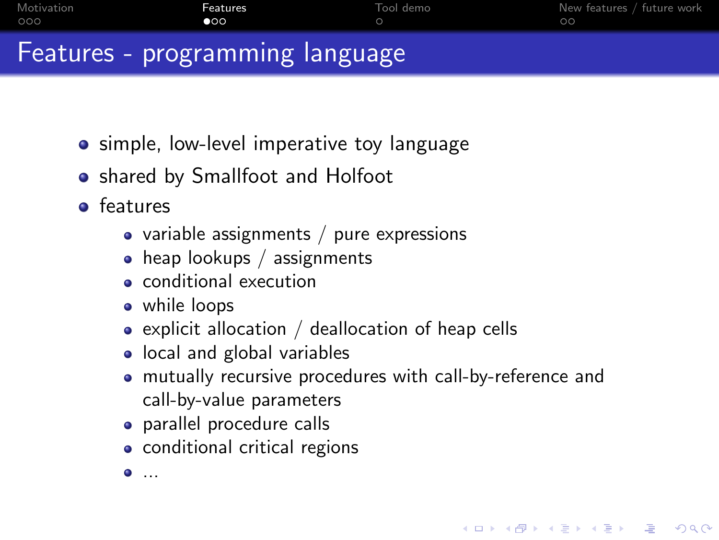| റററ                             | $\bullet$ | ററ |
|---------------------------------|-----------|----|
| Features - programming language |           |    |

- simple, low-level imperative toy language
- shared by Smallfoot and Holfoot
- **o** features
	- variable assignments  $/$  pure expressions
	- heap lookups / assignments
	- conditional execution
	- while loops
	- $\bullet$  explicit allocation / deallocation of heap cells
	- local and global variables
	- mutually recursive procedures with call-by-reference and call-by-value parameters

**AD A REAKEN E YOUR** 

- parallel procedure calls
- conditional critical regions
- <span id="page-4-0"></span>...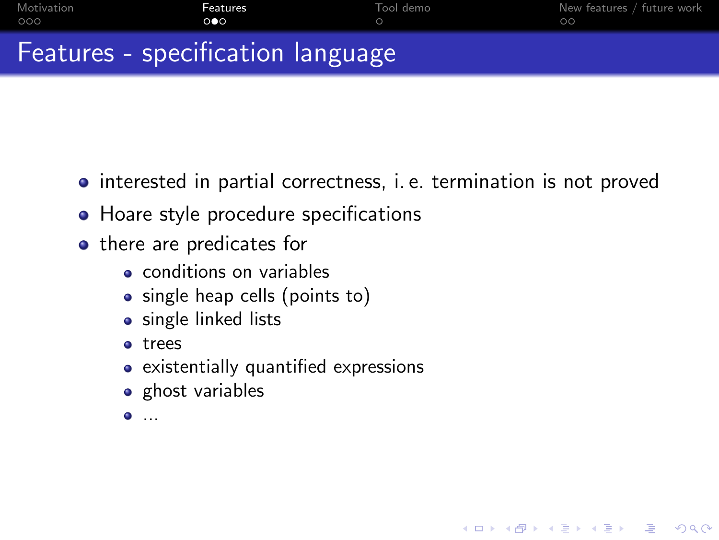| Motivation | Features                          | Tool demo | New features / future work |
|------------|-----------------------------------|-----------|----------------------------|
| റററ        | ൈ                                 |           | ററ                         |
|            | Features - specification language |           |                            |

• interested in partial correctness, i. e. termination is not proved

**KORK ERKER ER AGA** 

- Hoare style procedure specifications
- there are predicates for
	- **e** conditions on variables
	- single heap cells (points to)
	- single linked lists
	- trees
	- existentially quantified expressions
	- ghost variables
	- $\bullet$  ...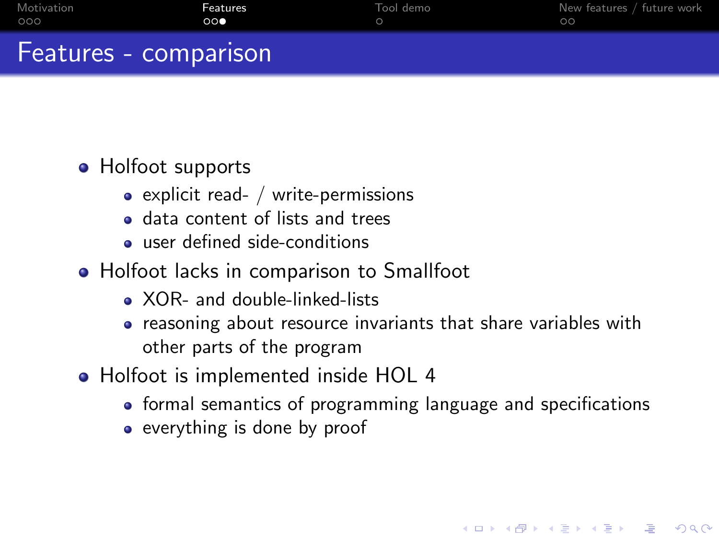| Motivation | Features              | Tool demo | New features / future work |
|------------|-----------------------|-----------|----------------------------|
| 000        | $\circ \circ \bullet$ |           | ററ                         |
|            | Features - comparison |           |                            |

## • Holfoot supports

- $\bullet$  explicit read- / write-permissions
- data content of lists and trees
- user defined side-conditions
- Holfoot lacks in comparison to Smallfoot
	- XOR- and double-linked-lists
	- reasoning about resource invariants that share variables with other parts of the program
- Holfoot is implemented inside HOL 4
	- formal semantics of programming language and specifications

**AD A REAKEN E YOUR** 

• everything is done by proof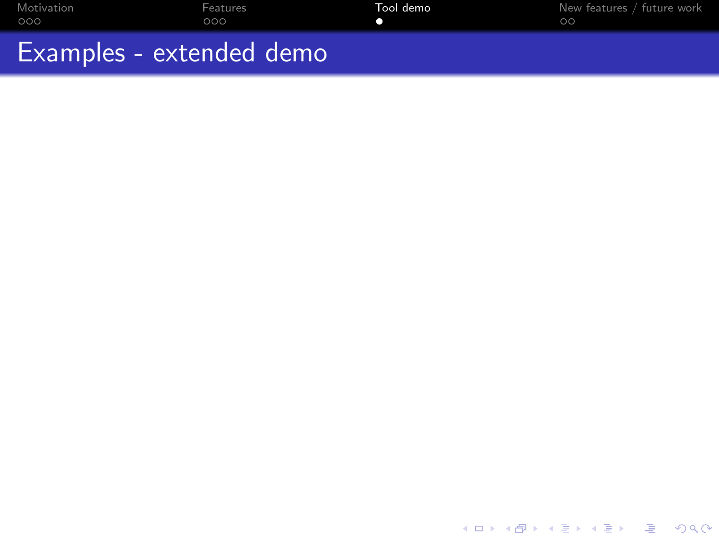| Motivation               | Features | Tool demo | New features / future work |
|--------------------------|----------|-----------|----------------------------|
| റററ                      | 000      |           | ററ                         |
| Examples - extended demo |          |           |                            |

<span id="page-7-0"></span>K ロ X (日) X 등 X X 등 X (동) 2 등 10 0 Q Q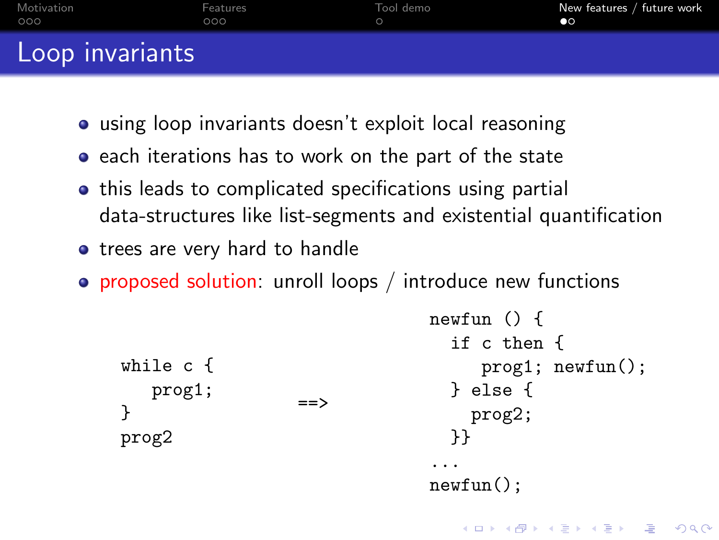| Motivation      | Features | Tool demo | New features / future work |
|-----------------|----------|-----------|----------------------------|
| 000             | 000      |           | $\bullet$                  |
| Loop invariants |          |           |                            |

- using loop invariants doesn't exploit local reasoning
- each iterations has to work on the part of the state
- this leads to complicated specifications using partial data-structures like list-segments and existential quantification
- trees are very hard to handle
- proposed solution: unroll loops / introduce new functions

```
while c {
   prog1;
}
prog2
                  =newfun () {
                                 if c then {
                                    prog1; newfun();
                                 } else {
                                   prog2;
                                 }}
                                ...
                               newfun();
```
**AD A REAKEN E YOUR**